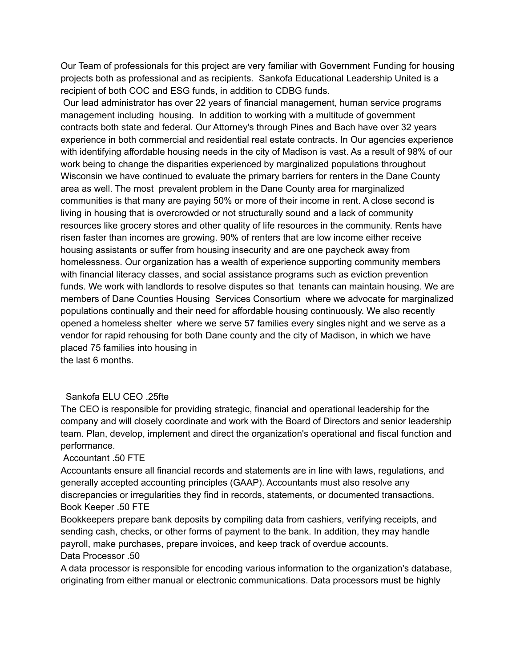Our Team of professionals for this project are very familiar with Government Funding for housing projects both as professional and as recipients. Sankofa Educational Leadership United is a recipient of both COC and ESG funds, in addition to CDBG funds.

Our lead administrator has over 22 years of financial management, human service programs management including housing. In addition to working with a multitude of government contracts both state and federal. Our Attorney's through Pines and Bach have over 32 years experience in both commercial and residential real estate contracts. In Our agencies experience with identifying affordable housing needs in the city of Madison is vast. As a result of 98% of our work being to change the disparities experienced by marginalized populations throughout Wisconsin we have continued to evaluate the primary barriers for renters in the Dane County area as well. The most prevalent problem in the Dane County area for marginalized communities is that many are paying 50% or more of their income in rent. A close second is living in housing that is overcrowded or not structurally sound and a lack of community resources like grocery stores and other quality of life resources in the community. Rents have risen faster than incomes are growing. 90% of renters that are low income either receive housing assistants or suffer from housing insecurity and are one paycheck away from homelessness. Our organization has a wealth of experience supporting community members with financial literacy classes, and social assistance programs such as eviction prevention funds. We work with landlords to resolve disputes so that tenants can maintain housing. We are members of Dane Counties Housing Services Consortium where we advocate for marginalized populations continually and their need for affordable housing continuously. We also recently opened a homeless shelter where we serve 57 families every singles night and we serve as a vendor for rapid rehousing for both Dane county and the city of Madison, in which we have placed 75 families into housing in the last 6 months.

## Sankofa ELU CEO .25fte

The CEO is responsible for providing strategic, financial and operational leadership for the company and will closely coordinate and work with the Board of Directors and senior leadership team. Plan, develop, implement and direct the organization's operational and fiscal function and performance.

## Accountant .50 FTE

Accountants ensure all financial records and statements are in line with laws, regulations, and generally accepted accounting principles (GAAP). Accountants must also resolve any discrepancies or irregularities they find in records, statements, or documented transactions. Book Keeper .50 FTE

Bookkeepers prepare bank deposits by compiling data from cashiers, verifying receipts, and sending cash, checks, or other forms of payment to the bank. In addition, they may handle payroll, make purchases, prepare invoices, and keep track of overdue accounts. Data Processor .50

A data processor is responsible for encoding various information to the organization's database, originating from either manual or electronic communications. Data processors must be highly